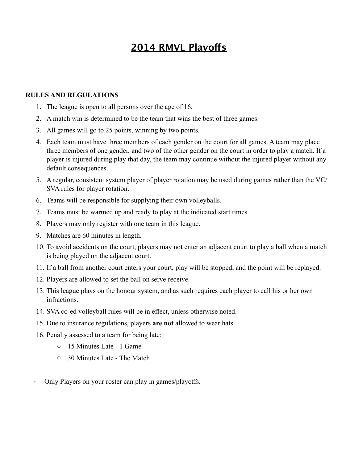# **2014 RMVL Playofs**

#### **RULES AND REGULATIONS**

- 1. The league is open to all persons over the age of 16.
- 2. A match win is determined to be the team that wins the best of three games.
- 3. All games will go to 25 points, winning by two points.
- 4. Each team must have three members of each gender on the court for all games. A team may place three members of one gender, and two of the other gender on the court in order to play a match. If a player is injured during play that day, the team may continue without the injured player without any default consequences.
- 5. A regular, consistent system player of player rotation may be used during games rather than the VC/ SVA rules for player rotation.
- 6. Teams will be responsible for supplying their own volleyballs.
- 7. Teams must be warmed up and ready to play at the indicated start times.
- 8. Players may only register with one team in this league.
- 9. Matches are 60 minutes in length.
- 10. To avoid accidents on the court, players may not enter an adjacent court to play a ball when a match is being played on the adjacent court.
- 11. If a ball from another court enters your court, play will be stopped, and the point will be replayed.
- 12. Players are allowed to set the ball on serve receive.
- 13. This league plays on the honour system, and as such requires each player to call his or her own infractions.
- 14. SVA co-ed volleyball rules will be in effect, unless otherwise noted.
- 15. Due to insurance regulations, players **are not** allowed to wear hats.
- 16. Penalty assessed to a team for being late:
	- o 15 Minutes Late 1 Game
	- o 30 Minutes Late The Match
- · Only Players on your roster can play in games/playoffs.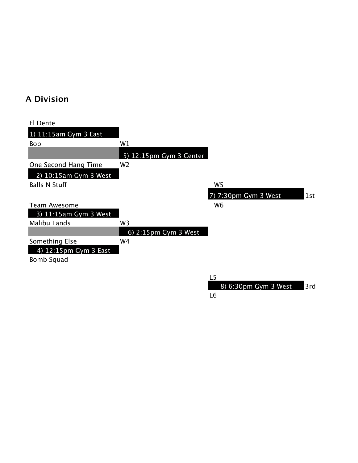## **A Division**

| El Dente                |                                 |                             |
|-------------------------|---------------------------------|-----------------------------|
| 1) 11:15am Gym 3 East   |                                 |                             |
| <b>Bob</b>              | W1                              |                             |
|                         | 5) 12:15pm Gym 3 Center         |                             |
| One Second Hang Time    | W <sub>2</sub>                  |                             |
| 2) 10:15am Gym 3 West   |                                 |                             |
| <b>Balls N Stuff</b>    |                                 | W <sub>5</sub>              |
|                         |                                 | 7) 7:30pm Gym 3 West<br>1st |
| <b>Team Awesome</b>     |                                 | W <sub>6</sub>              |
| $3)$ 11:15am Gym 3 West |                                 |                             |
| Malibu Lands            | W3                              |                             |
|                         | 6) $2:15 \text{pm }$ Gym 3 West |                             |
| Something Else          | W4                              |                             |
| 4) 12:15pm Gym 3 East   |                                 |                             |
| <b>Bomb Squad</b>       |                                 |                             |
|                         |                                 |                             |
|                         |                                 | L5                          |

8) 6:30pm Gym 3 West 3rd L6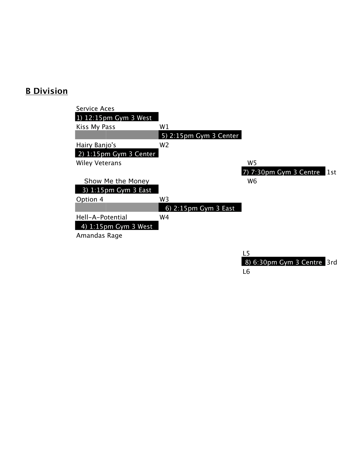#### **B Division**

| Service Aces                     |                                 |                                 |
|----------------------------------|---------------------------------|---------------------------------|
| 1) $12:15 \text{pm }$ Gym 3 West |                                 |                                 |
| Kiss My Pass                     | W1                              |                                 |
|                                  | 5) 2:15pm Gym 3 Center          |                                 |
| Hairy Banjo's                    | W <sub>2</sub>                  |                                 |
| 2) $1:15$ pm Gym 3 Center        |                                 |                                 |
| <b>Wiley Veterans</b>            |                                 | W <sub>5</sub>                  |
|                                  |                                 | 7) 7:30pm Gym 3 Centre<br>l 1st |
| Show Me the Money                |                                 | W <sub>6</sub>                  |
| 3) $1:15$ pm Gym 3 East          |                                 |                                 |
| Option 4                         | W3                              |                                 |
|                                  | 6) $2:15 \text{pm }$ Gym 3 East |                                 |
| Hell-A-Potential                 | W4                              |                                 |
| 4) $1:15$ pm Gym 3 West          |                                 |                                 |
| Amandas Rage                     |                                 |                                 |
|                                  |                                 |                                 |
|                                  |                                 | 1 E                             |

<u>L5</u> 8) 6:30pm Gym 3 Centre 3rd L6